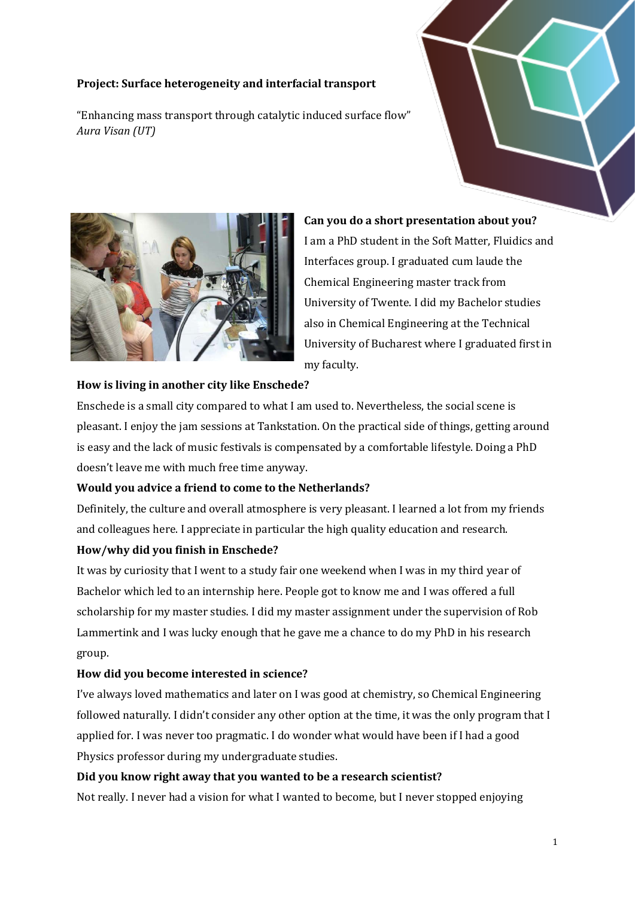# **Project: Surface heterogeneity and interfacial transport**

"Enhancing mass transport through catalytic induced surface flow" *Aura Visan (UT)*



**Can you do a short presentation about you?** I am a PhD student in the Soft Matter, Fluidics and Interfaces group. I graduated cum laude the Chemical Engineering master track from University of Twente. I did my Bachelor studies also in Chemical Engineering at the Technical University of Bucharest where I graduated first in my faculty.

# **How is living in another city like Enschede?**

Enschede is a small city compared to what I am used to. Nevertheless, the social scene is pleasant. I enjoy the jam sessions at Tankstation. On the practical side of things, getting around is easy and the lack of music festivals is compensated by a comfortable lifestyle. Doing a PhD doesn't leave me with much free time anyway.

# **Would you advice a friend to come to the Netherlands?**

Definitely, the culture and overall atmosphere is very pleasant. I learned a lot from my friends and colleagues here. I appreciate in particular the high quality education and research.

# **How/why did you finish in Enschede?**

It was by curiosity that I went to a study fair one weekend when I was in my third year of Bachelor which led to an internship here. People got to know me and I was offered a full scholarship for my master studies. I did my master assignment under the supervision of Rob Lammertink and I was lucky enough that he gave me a chance to do my PhD in his research group.

# **How did you become interested in science?**

I've always loved mathematics and later on I was good at chemistry, so Chemical Engineering followed naturally. I didn't consider any other option at the time, it was the only program that I applied for. I was never too pragmatic. I do wonder what would have been if I had a good Physics professor during my undergraduate studies.

#### **Did you know right away that you wanted to be a research scientist?**

Not really. I never had a vision for what I wanted to become, but I never stopped enjoying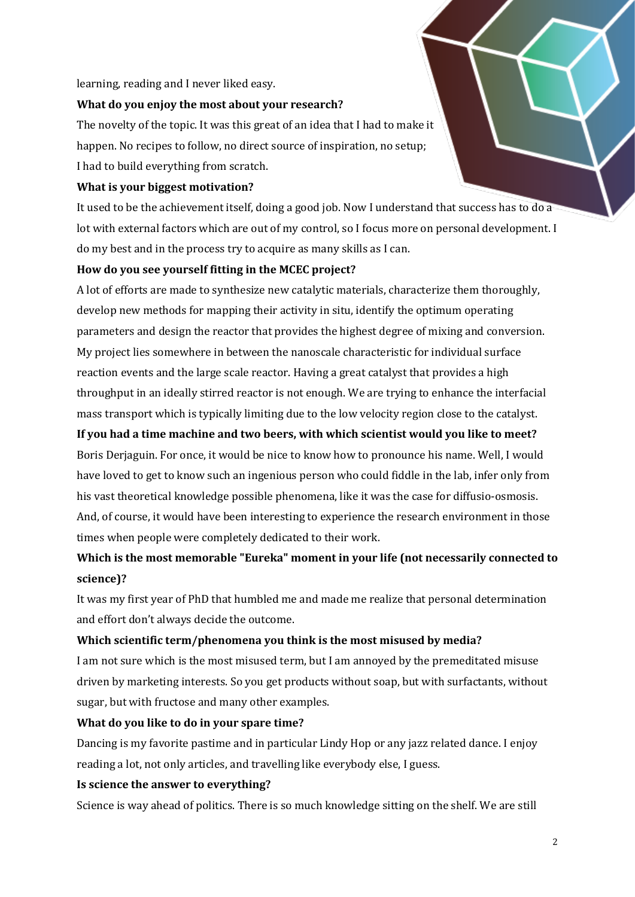learning, reading and I never liked easy.

# **What do you enjoy the most about your research?**

The novelty of the topic. It was this great of an idea that I had to make it happen. No recipes to follow, no direct source of inspiration, no setup; I had to build everything from scratch.

#### **What is your biggest motivation?**

It used to be the achievement itself, doing a good job. Now I understand that success has to do a lot with external factors which are out of my control, so I focus more on personal development. I do my best and in the process try to acquire as many skills as I can.

#### **How do you see yourself fitting in the MCEC project?**

A lot of efforts are made to synthesize new catalytic materials, characterize them thoroughly, develop new methods for mapping their activity in situ, identify the optimum operating parameters and design the reactor that provides the highest degree of mixing and conversion. My project lies somewhere in between the nanoscale characteristic for individual surface reaction events and the large scale reactor. Having a great catalyst that provides a high throughput in an ideally stirred reactor is not enough. We are trying to enhance the interfacial mass transport which is typically limiting due to the low velocity region close to the catalyst.

#### **If you had a time machine and two beers, with which scientist would you like to meet?**

Boris Derjaguin. For once, it would be nice to know how to pronounce his name. Well, I would have loved to get to know such an ingenious person who could fiddle in the lab, infer only from his vast theoretical knowledge possible phenomena, like it was the case for diffusio-osmosis. And, of course, it would have been interesting to experience the research environment in those times when people were completely dedicated to their work.

# **Which is the most memorable "Eureka" moment in your life (not necessarily connected to science)?**

It was my first year of PhD that humbled me and made me realize that personal determination and effort don't always decide the outcome.

# **Which scientific term/phenomena you think is the most misused by media?**

I am not sure which is the most misused term, but I am annoyed by the premeditated misuse driven by marketing interests. So you get products without soap, but with surfactants, without sugar, but with fructose and many other examples.

# **What do you like to do in your spare time?**

Dancing is my favorite pastime and in particular Lindy Hop or any jazz related dance. I enjoy reading a lot, not only articles, and travelling like everybody else, I guess.

# **Is science the answer to everything?**

Science is way ahead of politics. There is so much knowledge sitting on the shelf. We are still